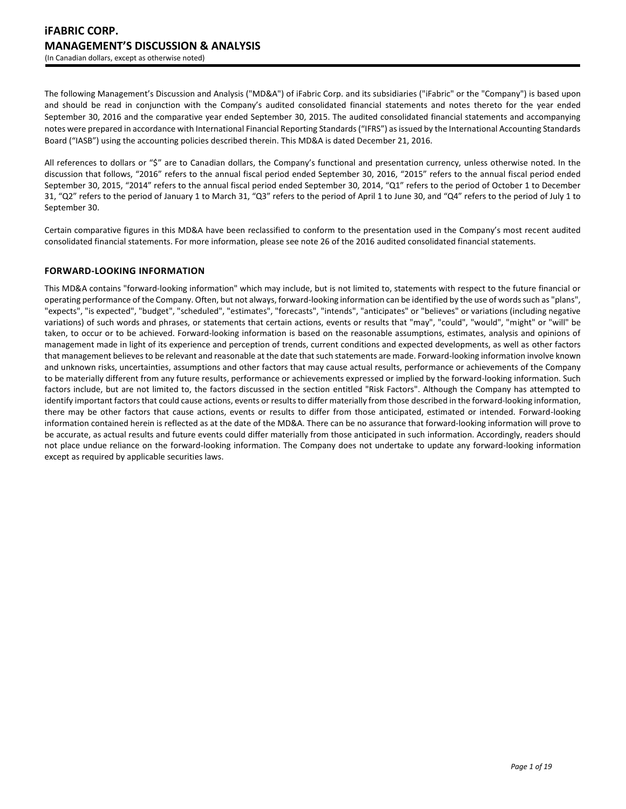The following Management's Discussion and Analysis ("MD&A") of iFabric Corp. and its subsidiaries ("iFabric" or the "Company") is based upon and should be read in conjunction with the Company's audited consolidated financial statements and notes thereto for the year ended September 30, 2016 and the comparative year ended September 30, 2015. The audited consolidated financial statements and accompanying notes were prepared in accordance with International Financial Reporting Standards ("IFRS") as issued by the International Accounting Standards Board ("IASB") using the accounting policies described therein. This MD&A is dated December 21, 2016.

All references to dollars or "\$" are to Canadian dollars, the Company's functional and presentation currency, unless otherwise noted. In the discussion that follows, "2016" refers to the annual fiscal period ended September 30, 2016, "2015" refers to the annual fiscal period ended September 30, 2015, "2014" refers to the annual fiscal period ended September 30, 2014, "Q1" refers to the period of October 1 to December 31, "Q2" refers to the period of January 1 to March 31, "Q3" refers to the period of April 1 to June 30, and "Q4" refers to the period of July 1 to September 30.

Certain comparative figures in this MD&A have been reclassified to conform to the presentation used in the Company's most recent audited consolidated financial statements. For more information, please see note 26 of the 2016 audited consolidated financial statements.

# **FORWARD-LOOKING INFORMATION**

This MD&A contains "forward-looking information" which may include, but is not limited to, statements with respect to the future financial or operating performance of the Company. Often, but not always, forward-looking information can be identified by the use of words such as "plans", "expects", "is expected", "budget", "scheduled", "estimates", "forecasts", "intends", "anticipates" or "believes" or variations (including negative variations) of such words and phrases, or statements that certain actions, events or results that "may", "could", "would", "might" or "will" be taken, to occur or to be achieved. Forward-looking information is based on the reasonable assumptions, estimates, analysis and opinions of management made in light of its experience and perception of trends, current conditions and expected developments, as well as other factors that management believes to be relevant and reasonable at the date that such statements are made. Forward-looking information involve known and unknown risks, uncertainties, assumptions and other factors that may cause actual results, performance or achievements of the Company to be materially different from any future results, performance or achievements expressed or implied by the forward-looking information. Such factors include, but are not limited to, the factors discussed in the section entitled "Risk Factors". Although the Company has attempted to identify important factors that could cause actions, events or results to differ materially from those described in the forward-looking information, there may be other factors that cause actions, events or results to differ from those anticipated, estimated or intended. Forward-looking information contained herein is reflected as at the date of the MD&A. There can be no assurance that forward-looking information will prove to be accurate, as actual results and future events could differ materially from those anticipated in such information. Accordingly, readers should not place undue reliance on the forward-looking information. The Company does not undertake to update any forward-looking information except as required by applicable securities laws.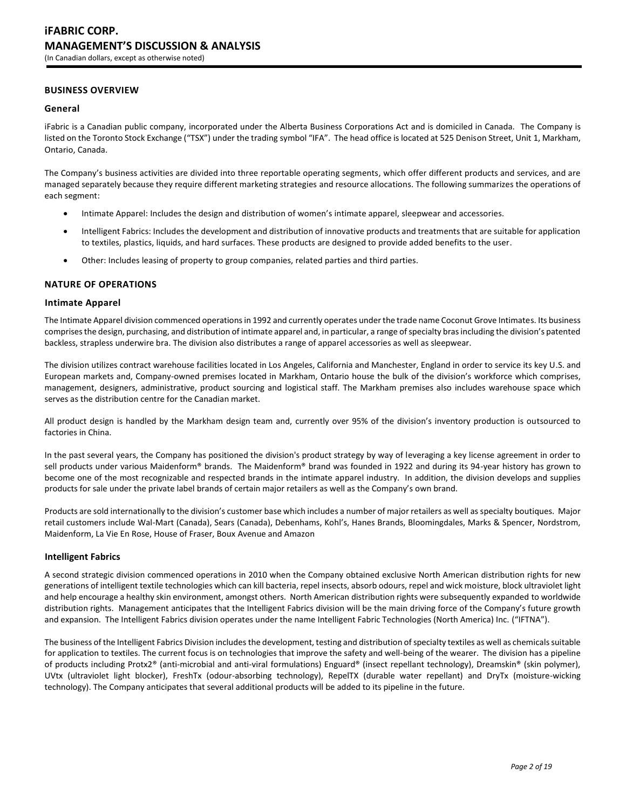# **BUSINESS OVERVIEW**

### **General**

iFabric is a Canadian public company, incorporated under the Alberta Business Corporations Act and is domiciled in Canada. The Company is listed on the Toronto Stock Exchange ("TSX") under the trading symbol "IFA". The head office is located at 525 Denison Street, Unit 1, Markham, Ontario, Canada.

The Company's business activities are divided into three reportable operating segments, which offer different products and services, and are managed separately because they require different marketing strategies and resource allocations. The following summarizes the operations of each segment:

- Intimate Apparel: Includes the design and distribution of women's intimate apparel, sleepwear and accessories.
- Intelligent Fabrics: Includes the development and distribution of innovative products and treatments that are suitable for application to textiles, plastics, liquids, and hard surfaces. These products are designed to provide added benefits to the user.
- Other: Includes leasing of property to group companies, related parties and third parties.

### **NATURE OF OPERATIONS**

### **Intimate Apparel**

The Intimate Apparel division commenced operations in 1992 and currently operates under the trade name Coconut Grove Intimates. Its business comprises the design, purchasing, and distribution of intimate apparel and, in particular, a range of specialty bras including the division's patented backless, strapless underwire bra. The division also distributes a range of apparel accessories as well as sleepwear.

The division utilizes contract warehouse facilities located in Los Angeles, California and Manchester, England in order to service its key U.S. and European markets and, Company-owned premises located in Markham, Ontario house the bulk of the division's workforce which comprises, management, designers, administrative, product sourcing and logistical staff. The Markham premises also includes warehouse space which serves as the distribution centre for the Canadian market.

All product design is handled by the Markham design team and, currently over 95% of the division's inventory production is outsourced to factories in China.

In the past several years, the Company has positioned the division's product strategy by way of leveraging a key license agreement in order to sell products under various Maidenform® brands. The Maidenform® brand was founded in 1922 and during its 94-year history has grown to become one of the most recognizable and respected brands in the intimate apparel industry. In addition, the division develops and supplies products for sale under the private label brands of certain major retailers as well as the Company's own brand.

Products are sold internationally to the division's customer base which includes a number of major retailers as well as specialty boutiques. Major retail customers include Wal-Mart (Canada), Sears (Canada), Debenhams, Kohl's, Hanes Brands, Bloomingdales, Marks & Spencer, Nordstrom, Maidenform, La Vie En Rose, House of Fraser, Boux Avenue and Amazon

### **Intelligent Fabrics**

A second strategic division commenced operations in 2010 when the Company obtained exclusive North American distribution rights for new generations of intelligent textile technologies which can kill bacteria, repel insects, absorb odours, repel and wick moisture, block ultraviolet light and help encourage a healthy skin environment, amongst others. North American distribution rights were subsequently expanded to worldwide distribution rights. Management anticipates that the Intelligent Fabrics division will be the main driving force of the Company's future growth and expansion. The Intelligent Fabrics division operates under the name Intelligent Fabric Technologies (North America) Inc. ("IFTNA").

The business of the Intelligent Fabrics Division includes the development, testing and distribution of specialty textiles as well as chemicals suitable for application to textiles. The current focus is on technologies that improve the safety and well-being of the wearer. The division has a pipeline of products including Protx2® (anti-microbial and anti-viral formulations) Enguard® (insect repellant technology), Dreamskin® (skin polymer), UVtx (ultraviolet light blocker), FreshTx (odour-absorbing technology), RepelTX (durable water repellant) and DryTx (moisture-wicking technology). The Company anticipates that several additional products will be added to its pipeline in the future.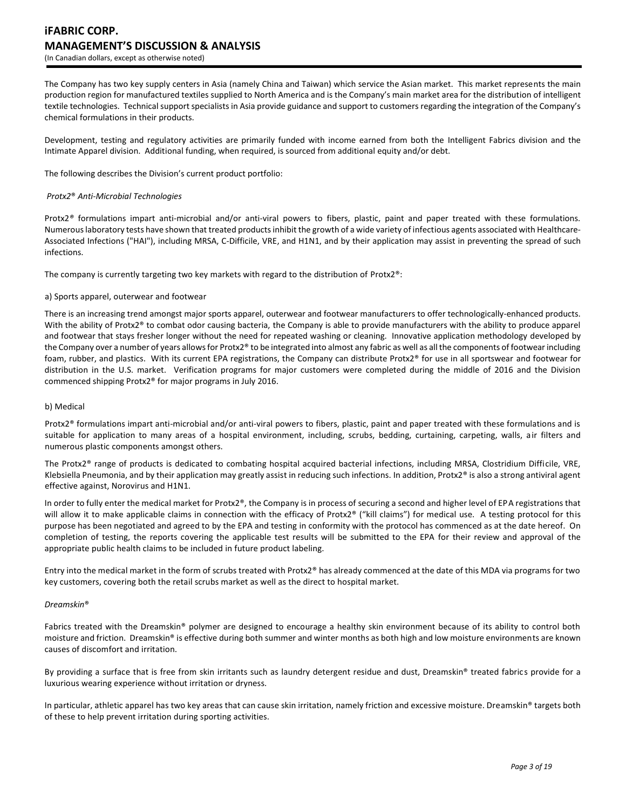# **iFABRIC CORP. MANAGEMENT'S DISCUSSION & ANALYSIS** (In Canadian dollars, except as otherwise noted)

The Company has two key supply centers in Asia (namely China and Taiwan) which service the Asian market. This market represents the main production region for manufactured textiles supplied to North America and is the Company's main market area for the distribution of intelligent textile technologies. Technical support specialists in Asia provide guidance and support to customers regarding the integration of the Company's chemical formulations in their products.

Development, testing and regulatory activities are primarily funded with income earned from both the Intelligent Fabrics division and the Intimate Apparel division. Additional funding, when required, is sourced from additional equity and/or debt.

The following describes the Division's current product portfolio:

### *Protx2*® *Anti-Microbial Technologies*

Protx2*®* formulations impart anti-microbial and/or anti-viral powers to fibers, plastic, paint and paper treated with these formulations. Numerous laboratory tests have shown that treated products inhibit the growth of a wide variety of infectious agents associated with Healthcare-Associated Infections ("HAI"), including MRSA, C-Difficile, VRE, and H1N1, and by their application may assist in preventing the spread of such infections.

The company is currently targeting two key markets with regard to the distribution of Protx2®:

#### a) Sports apparel, outerwear and footwear

There is an increasing trend amongst major sports apparel, outerwear and footwear manufacturers to offer technologically-enhanced products. With the ability of Protx2® to combat odor causing bacteria, the Company is able to provide manufacturers with the ability to produce apparel and footwear that stays fresher longer without the need for repeated washing or cleaning. Innovative application methodology developed by the Company over a number of years allows for Protx2® to be integrated into almost any fabric as well as all the components of footwear including foam, rubber, and plastics. With its current EPA registrations, the Company can distribute Protx2® for use in all sportswear and footwear for distribution in the U.S. market. Verification programs for major customers were completed during the middle of 2016 and the Division commenced shipping Protx2® for major programs in July 2016.

#### b) Medical

Protx2® formulations impart anti-microbial and/or anti-viral powers to fibers, plastic, paint and paper treated with these formulations and is suitable for application to many areas of a hospital environment, including, scrubs, bedding, curtaining, carpeting, walls, air filters and numerous plastic components amongst others.

The Protx2® range of products is dedicated to combating hospital acquired bacterial infections, including MRSA, Clostridium Difficile, VRE, Klebsiella Pneumonia, and by their application may greatly assist in reducing such infections. In addition, Protx $2<sup>®</sup>$  is also a strong antiviral agent effective against, Norovirus and H1N1.

In order to fully enter the medical market for Protx2®, the Company is in process of securing a second and higher level of EPA registrations that will allow it to make applicable claims in connection with the efficacy of Protx2® ("kill claims") for medical use. A testing protocol for this purpose has been negotiated and agreed to by the EPA and testing in conformity with the protocol has commenced as at the date hereof. On completion of testing, the reports covering the applicable test results will be submitted to the EPA for their review and approval of the appropriate public health claims to be included in future product labeling.

Entry into the medical market in the form of scrubs treated with Protx2® has already commenced at the date of this MDA via programs for two key customers, covering both the retail scrubs market as well as the direct to hospital market.

### *Dreamskin*®

Fabrics treated with the Dreamskin® polymer are designed to encourage a healthy skin environment because of its ability to control both moisture and friction. Dreamskin® is effective during both summer and winter months as both high and low moisture environments are known causes of discomfort and irritation.

By providing a surface that is free from skin irritants such as laundry detergent residue and dust, Dreamskin® treated fabrics provide for a luxurious wearing experience without irritation or dryness.

In particular, athletic apparel has two key areas that can cause skin irritation, namely friction and excessive moisture. Dreamskin® targets both of these to help prevent irritation during sporting activities.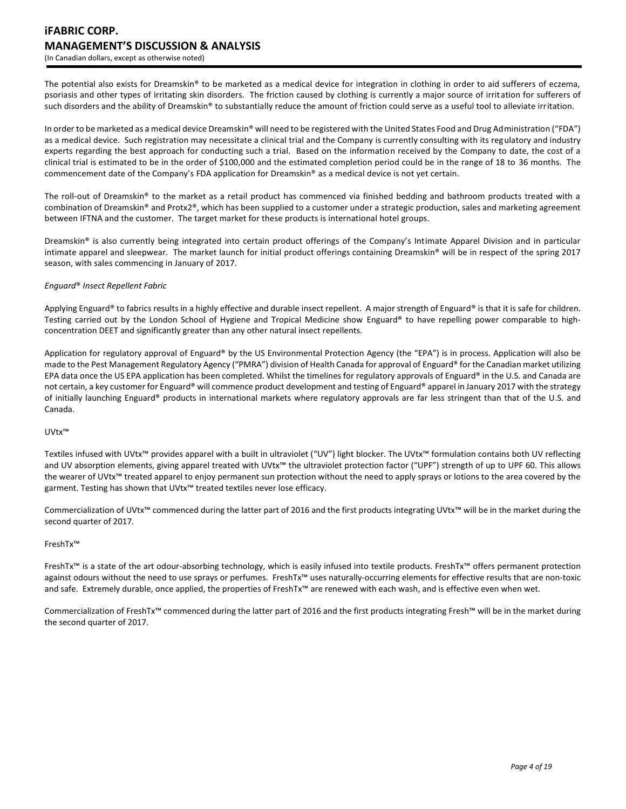# **iFABRIC CORP. MANAGEMENT'S DISCUSSION & ANALYSIS** (In Canadian dollars, except as otherwise noted)

The potential also exists for Dreamskin® to be marketed as a medical device for integration in clothing in order to aid sufferers of eczema, psoriasis and other types of irritating skin disorders. The friction caused by clothing is currently a major source of irritation for sufferers of such disorders and the ability of Dreamskin® to substantially reduce the amount of friction could serve as a useful tool to alleviate irritation.

In order to be marketed as a medical device Dreamskin® will need to be registered with the United States Food and Drug Administration ("FDA") as a medical device. Such registration may necessitate a clinical trial and the Company is currently consulting with its regulatory and industry experts regarding the best approach for conducting such a trial. Based on the information received by the Company to date, the cost of a clinical trial is estimated to be in the order of \$100,000 and the estimated completion period could be in the range of 18 to 36 months. The commencement date of the Company's FDA application for Dreamskin® as a medical device is not yet certain.

The roll-out of Dreamskin® to the market as a retail product has commenced via finished bedding and bathroom products treated with a combination of Dreamskin® and Protx2®, which has been supplied to a customer under a strategic production, sales and marketing agreement between IFTNA and the customer. The target market for these products is international hotel groups.

Dreamskin® is also currently being integrated into certain product offerings of the Company's Intimate Apparel Division and in particular intimate apparel and sleepwear. The market launch for initial product offerings containing Dreamskin® will be in respect of the spring 2017 season, with sales commencing in January of 2017.

### *Enguard*® *Insect Repellent Fabric*

Applying Enguard® to fabrics results in a highly effective and durable insect repellent. A major strength of Enguard® is that it is safe for children. Testing carried out by the London School of Hygiene and Tropical Medicine show Enguard® to have repelling power comparable to highconcentration DEET and significantly greater than any other natural insect repellents.

Application for regulatory approval of Enguard® by the US Environmental Protection Agency (the "EPA") is in process. Application will also be made to the Pest Management Regulatory Agency ("PMRA") division of Health Canada for approval of Enguard® for the Canadian market utilizing EPA data once the US EPA application has been completed. Whilst the timelines for regulatory approvals of Enguard® in the U.S. and Canada are not certain, a key customer for Enguard® will commence product development and testing of Enguard® apparel in January 2017 with the strategy of initially launching Enguard® products in international markets where regulatory approvals are far less stringent than that of the U.S. and Canada.

### UVtx™

Textiles infused with UVtx™ provides apparel with a built in ultraviolet ("UV") light blocker. The UVtx™ formulation contains both UV reflecting and UV absorption elements, giving apparel treated with UVtx™ the ultraviolet protection factor ("UPF") strength of up to UPF 60. This allows the wearer of UVtx™ treated apparel to enjoy permanent sun protection without the need to apply sprays or lotions to the area covered by the garment. Testing has shown that UVtx<sup>™</sup> treated textiles never lose efficacy.

Commercialization of UVtx™ commenced during the latter part of 2016 and the first products integrating UVtx™ will be in the market during the second quarter of 2017.

### FreshTx™

FreshTx™ is a state of the art odour-absorbing technology, which is easily infused into textile products. FreshTx™ offers permanent protection against odours without the need to use sprays or perfumes. FreshTx™ uses naturally-occurring elements for effective results that are non-toxic and safe. Extremely durable, once applied, the properties of FreshTx™ are renewed with each wash, and is effective even when wet.

Commercialization of FreshTx™ commenced during the latter part of 2016 and the first products integrating Fresh™ will be in the market during the second quarter of 2017.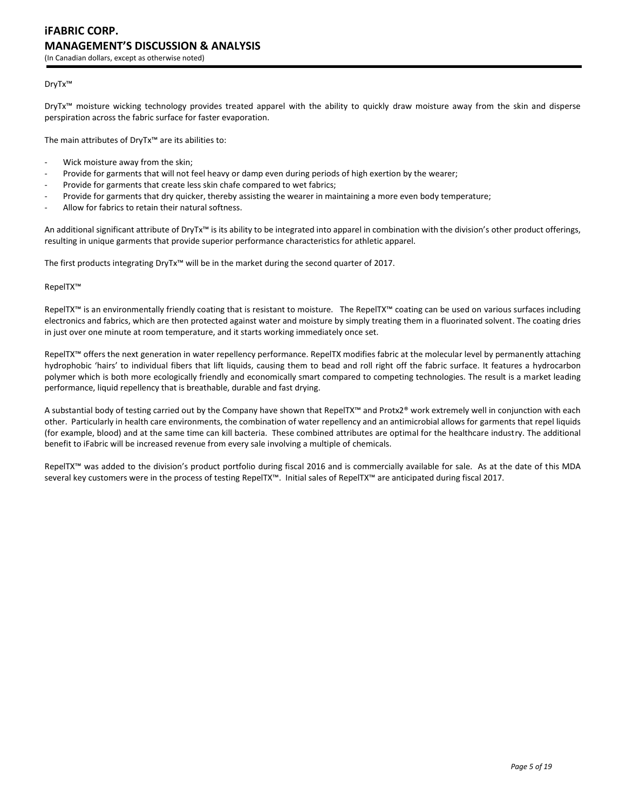### DryTx™

DryTx™ moisture wicking technology provides treated apparel with the ability to quickly draw moisture away from the skin and disperse perspiration across the fabric surface for faster evaporation.

The main attributes of DryTx™ are its abilities to:

- Wick moisture away from the skin;
- Provide for garments that will not feel heavy or damp even during periods of high exertion by the wearer;
- Provide for garments that create less skin chafe compared to wet fabrics;
- Provide for garments that dry quicker, thereby assisting the wearer in maintaining a more even body temperature;
- Allow for fabrics to retain their natural softness.

An additional significant attribute of DryTx<sup>™</sup> is its ability to be integrated into apparel in combination with the division's other product offerings, resulting in unique garments that provide superior performance characteristics for athletic apparel.

The first products integrating DryTx™ will be in the market during the second quarter of 2017.

#### RepelTX™

RepelTX™ is an environmentally friendly coating that is resistant to moisture. The RepelTX™ coating can be used on various surfaces including electronics and fabrics, which are then protected against water and moisture by simply treating them in a fluorinated solvent. The coating dries in just over one minute at room temperature, and it starts working immediately once set.

RepelTX™ offers the next generation in water repellency performance. RepelTX modifies fabric at the molecular level by permanently attaching hydrophobic 'hairs' to individual fibers that lift liquids, causing them to bead and roll right off the fabric surface. It features a hydrocarbon polymer which is both more ecologically friendly and economically smart compared to competing technologies. The result is a market leading performance, liquid repellency that is breathable, durable and fast drying.

A substantial body of testing carried out by the Company have shown that RepelTX™ and Protx2® work extremely well in conjunction with each other. Particularly in health care environments, the combination of water repellency and an antimicrobial allows for garments that repel liquids (for example, blood) and at the same time can kill bacteria. These combined attributes are optimal for the healthcare industry. The additional benefit to iFabric will be increased revenue from every sale involving a multiple of chemicals.

RepelTX™ was added to the division's product portfolio during fiscal 2016 and is commercially available for sale. As at the date of this MDA several key customers were in the process of testing RepelTX™. Initial sales of RepelTX™ are anticipated during fiscal 2017.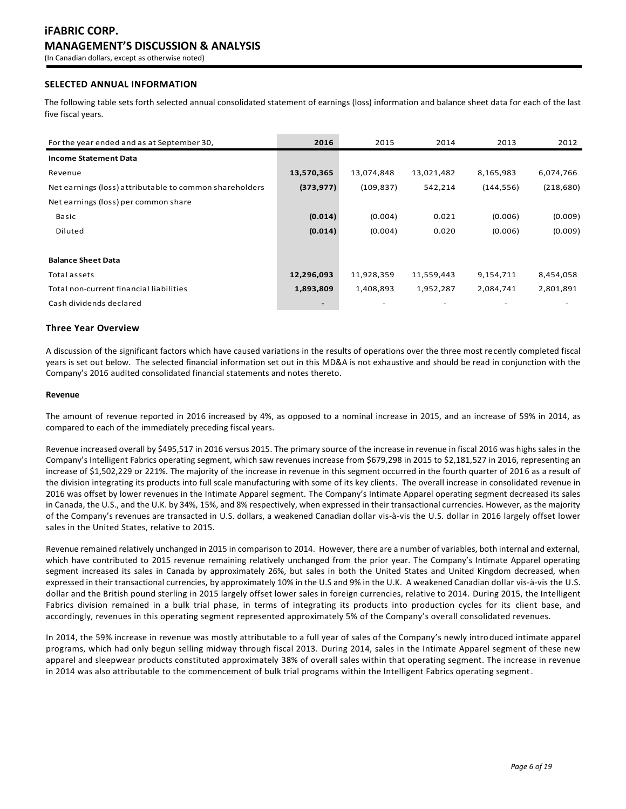# **SELECTED ANNUAL INFORMATION**

The following table sets forth selected annual consolidated statement of earnings (loss) information and balance sheet data for each of the last five fiscal years.

| For the year ended and as at September 30,              | 2016       | 2015       | 2014       | 2013       | 2012       |
|---------------------------------------------------------|------------|------------|------------|------------|------------|
| <b>Income Statement Data</b>                            |            |            |            |            |            |
| Revenue                                                 | 13,570,365 | 13,074,848 | 13,021,482 | 8,165,983  | 6,074,766  |
| Net earnings (loss) attributable to common shareholders | (373, 977) | (109, 837) | 542,214    | (144, 556) | (218, 680) |
| Net earnings (loss) per common share                    |            |            |            |            |            |
| Basic                                                   | (0.014)    | (0.004)    | 0.021      | (0.006)    | (0.009)    |
| Diluted                                                 | (0.014)    | (0.004)    | 0.020      | (0.006)    | (0.009)    |
|                                                         |            |            |            |            |            |
| <b>Balance Sheet Data</b>                               |            |            |            |            |            |
| Total assets                                            | 12,296,093 | 11,928,359 | 11,559,443 | 9,154,711  | 8,454,058  |
| Total non-current financial liabilities                 | 1,893,809  | 1,408,893  | 1,952,287  | 2,084,741  | 2,801,891  |
| Cash dividends declared                                 |            |            |            |            |            |

### **Three Year Overview**

A discussion of the significant factors which have caused variations in the results of operations over the three most recently completed fiscal years is set out below. The selected financial information set out in this MD&A is not exhaustive and should be read in conjunction with the Company's 2016 audited consolidated financial statements and notes thereto.

### **Revenue**

The amount of revenue reported in 2016 increased by 4%, as opposed to a nominal increase in 2015, and an increase of 59% in 2014, as compared to each of the immediately preceding fiscal years.

Revenue increased overall by \$495,517 in 2016 versus 2015. The primary source of the increase in revenue in fiscal 2016 was highs sales in the Company's Intelligent Fabrics operating segment, which saw revenues increase from \$679,298 in 2015 to \$2,181,527 in 2016, representing an increase of \$1,502,229 or 221%. The majority of the increase in revenue in this segment occurred in the fourth quarter of 2016 as a result of the division integrating its products into full scale manufacturing with some of its key clients. The overall increase in consolidated revenue in 2016 was offset by lower revenues in the Intimate Apparel segment. The Company's Intimate Apparel operating segment decreased its sales in Canada, the U.S., and the U.K. by 34%, 15%, and 8% respectively, when expressed in their transactional currencies. However, as the majority of the Company's revenues are transacted in U.S. dollars, a weakened Canadian dollar vis-à-vis the U.S. dollar in 2016 largely offset lower sales in the United States, relative to 2015.

Revenue remained relatively unchanged in 2015 in comparison to 2014. However, there are a number of variables, both internal and external, which have contributed to 2015 revenue remaining relatively unchanged from the prior year. The Company's Intimate Apparel operating segment increased its sales in Canada by approximately 26%, but sales in both the United States and United Kingdom decreased, when expressed in their transactional currencies, by approximately 10% in the U.S and 9% in the U.K. A weakened Canadian dollar vis-à-vis the U.S. dollar and the British pound sterling in 2015 largely offset lower sales in foreign currencies, relative to 2014. During 2015, the Intelligent Fabrics division remained in a bulk trial phase, in terms of integrating its products into production cycles for its client base, and accordingly, revenues in this operating segment represented approximately 5% of the Company's overall consolidated revenues.

In 2014, the 59% increase in revenue was mostly attributable to a full year of sales of the Company's newly introduced intimate apparel programs, which had only begun selling midway through fiscal 2013. During 2014, sales in the Intimate Apparel segment of these new apparel and sleepwear products constituted approximately 38% of overall sales within that operating segment. The increase in revenue in 2014 was also attributable to the commencement of bulk trial programs within the Intelligent Fabrics operating segment.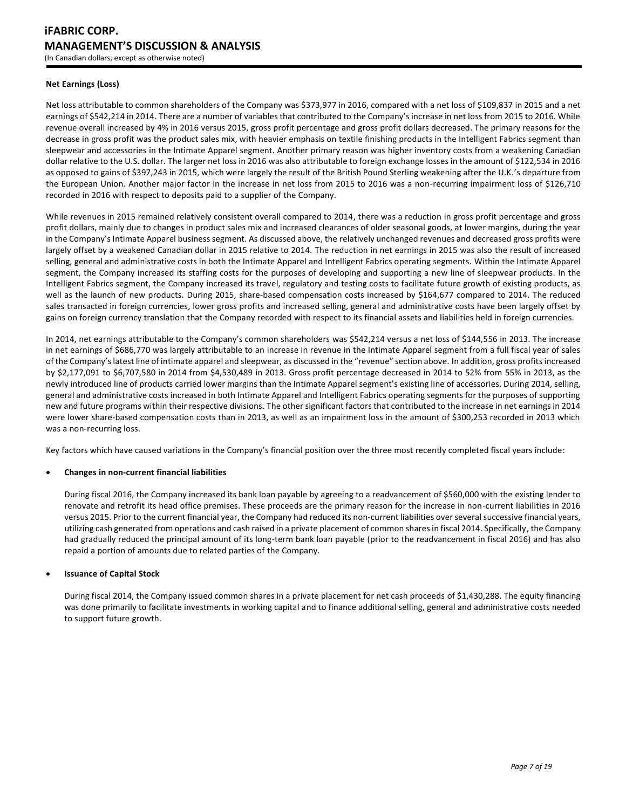### **Net Earnings (Loss)**

Net loss attributable to common shareholders of the Company was \$373,977 in 2016, compared with a net loss of \$109,837 in 2015 and a net earnings of \$542,214 in 2014. There are a number of variables that contributed to the Company's increase in net loss from 2015 to 2016. While revenue overall increased by 4% in 2016 versus 2015, gross profit percentage and gross profit dollars decreased. The primary reasons for the decrease in gross profit was the product sales mix, with heavier emphasis on textile finishing products in the Intelligent Fabrics segment than sleepwear and accessories in the Intimate Apparel segment. Another primary reason was higher inventory costs from a weakening Canadian dollar relative to the U.S. dollar. The larger net loss in 2016 was also attributable to foreign exchange losses in the amount of \$122,534 in 2016 as opposed to gains of \$397,243 in 2015, which were largely the result of the British Pound Sterling weakening after the U.K.'s departure from the European Union. Another major factor in the increase in net loss from 2015 to 2016 was a non-recurring impairment loss of \$126,710 recorded in 2016 with respect to deposits paid to a supplier of the Company.

While revenues in 2015 remained relatively consistent overall compared to 2014, there was a reduction in gross profit percentage and gross profit dollars, mainly due to changes in product sales mix and increased clearances of older seasonal goods, at lower margins, during the year in the Company's Intimate Apparel business segment. As discussed above, the relatively unchanged revenues and decreased gross profits were largely offset by a weakened Canadian dollar in 2015 relative to 2014. The reduction in net earnings in 2015 was also the result of increased selling, general and administrative costs in both the Intimate Apparel and Intelligent Fabrics operating segments. Within the Intimate Apparel segment, the Company increased its staffing costs for the purposes of developing and supporting a new line of sleepwear products. In the Intelligent Fabrics segment, the Company increased its travel, regulatory and testing costs to facilitate future growth of existing products, as well as the launch of new products. During 2015, share-based compensation costs increased by \$164,677 compared to 2014. The reduced sales transacted in foreign currencies, lower gross profits and increased selling, general and administrative costs have been largely offset by gains on foreign currency translation that the Company recorded with respect to its financial assets and liabilities held in foreign currencies.

In 2014, net earnings attributable to the Company's common shareholders was \$542,214 versus a net loss of \$144,556 in 2013. The increase in net earnings of \$686,770 was largely attributable to an increase in revenue in the Intimate Apparel segment from a full fiscal year of sales of the Company's latest line of intimate apparel and sleepwear, as discussed in the "revenue" section above. In addition, gross profitsincreased by \$2,177,091 to \$6,707,580 in 2014 from \$4,530,489 in 2013. Gross profit percentage decreased in 2014 to 52% from 55% in 2013, as the newly introduced line of products carried lower margins than the Intimate Apparel segment's existing line of accessories. During 2014, selling, general and administrative costs increased in both Intimate Apparel and Intelligent Fabrics operating segments for the purposes of supporting new and future programs within their respective divisions. The other significant factors that contributed to the increase in net earnings in 2014 were lower share-based compensation costs than in 2013, as well as an impairment loss in the amount of \$300,253 recorded in 2013 which was a non-recurring loss.

Key factors which have caused variations in the Company's financial position over the three most recently completed fiscal years include:

### **Changes in non-current financial liabilities**

During fiscal 2016, the Company increased its bank loan payable by agreeing to a readvancement of \$560,000 with the existing lender to renovate and retrofit its head office premises. These proceeds are the primary reason for the increase in non-current liabilities in 2016 versus 2015. Prior to the current financial year, the Company had reduced its non-current liabilities over several successive financial years, utilizing cash generated from operations and cash raised in a private placement of common shares in fiscal 2014. Specifically, the Company had gradually reduced the principal amount of its long-term bank loan payable (prior to the readvancement in fiscal 2016) and has also repaid a portion of amounts due to related parties of the Company.

### **Issuance of Capital Stock**

During fiscal 2014, the Company issued common shares in a private placement for net cash proceeds of \$1,430,288. The equity financing was done primarily to facilitate investments in working capital and to finance additional selling, general and administrative costs needed to support future growth.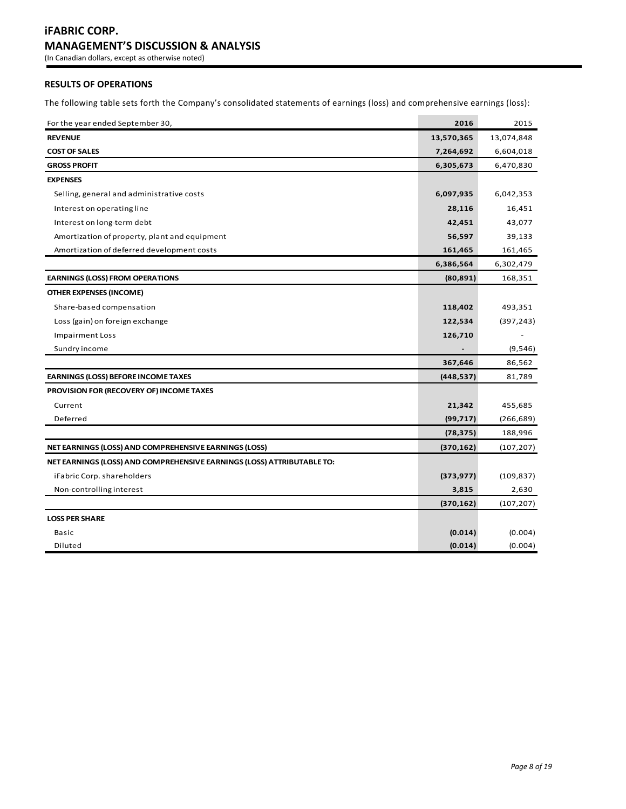# **RESULTS OF OPERATIONS**

The following table sets forth the Company's consolidated statements of earnings (loss) and comprehensive earnings (loss):

| For the year ended September 30,                                       | 2016       | 2015       |
|------------------------------------------------------------------------|------------|------------|
| <b>REVENUE</b>                                                         | 13,570,365 | 13,074,848 |
| <b>COST OF SALES</b>                                                   | 7,264,692  | 6,604,018  |
| <b>GROSS PROFIT</b>                                                    | 6,305,673  | 6,470,830  |
| <b>EXPENSES</b>                                                        |            |            |
| Selling, general and administrative costs                              | 6,097,935  | 6,042,353  |
| Interest on operating line                                             | 28,116     | 16,451     |
| Interest on long-term debt                                             | 42,451     | 43,077     |
| Amortization of property, plant and equipment                          | 56,597     | 39,133     |
| Amortization of deferred development costs                             | 161,465    | 161,465    |
|                                                                        | 6,386,564  | 6,302,479  |
| <b>EARNINGS (LOSS) FROM OPERATIONS</b>                                 | (80, 891)  | 168,351    |
| <b>OTHER EXPENSES (INCOME)</b>                                         |            |            |
| Share-based compensation                                               | 118,402    | 493,351    |
| Loss (gain) on foreign exchange                                        | 122,534    | (397, 243) |
| <b>Impairment Loss</b>                                                 | 126,710    |            |
| Sundry income                                                          |            | (9, 546)   |
|                                                                        | 367,646    | 86,562     |
| <b>EARNINGS (LOSS) BEFORE INCOME TAXES</b>                             | (448, 537) | 81,789     |
| PROVISION FOR (RECOVERY OF) INCOME TAXES                               |            |            |
| Current                                                                | 21,342     | 455,685    |
| Deferred                                                               | (99, 717)  | (266, 689) |
|                                                                        | (78, 375)  | 188,996    |
| NET EARNINGS (LOSS) AND COMPREHENSIVE EARNINGS (LOSS)                  | (370, 162) | (107, 207) |
| NET EARNINGS (LOSS) AND COMPREHENSIVE EARNINGS (LOSS) ATTRIBUTABLE TO: |            |            |
| iFabric Corp. shareholders                                             | (373, 977) | (109, 837) |
| Non-controlling interest                                               | 3,815      | 2,630      |
|                                                                        | (370, 162) | (107, 207) |
| <b>LOSS PER SHARE</b>                                                  |            |            |
| Basic                                                                  | (0.014)    | (0.004)    |
| Diluted                                                                | (0.014)    | (0.004)    |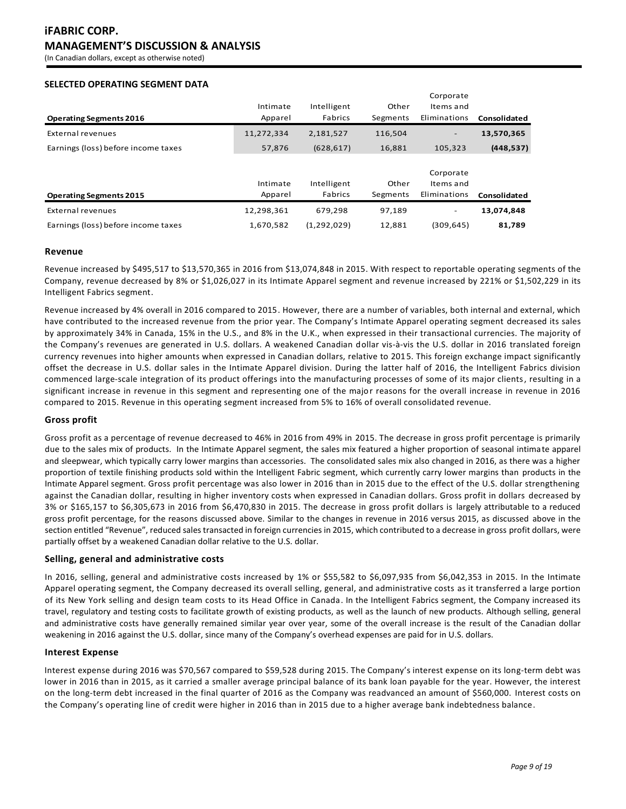(In Canadian dollars, except as otherwise noted)

# **SELECTED OPERATING SEGMENT DATA**

|                                     |            |               |          | Corporate                |              |
|-------------------------------------|------------|---------------|----------|--------------------------|--------------|
|                                     | Intimate   | Intelligent   | Other    | Items and                |              |
| <b>Operating Segments 2016</b>      | Apparel    | Fabrics       | Segments | Eliminations             | Consolidated |
| External revenues                   | 11,272,334 | 2,181,527     | 116,504  | $\qquad \qquad -$        | 13,570,365   |
| Earnings (loss) before income taxes | 57,876     | (628, 617)    | 16,881   | 105.323                  | (448, 537)   |
|                                     |            |               |          |                          |              |
|                                     |            |               |          | Corporate                |              |
|                                     | Intimate   | Intelligent   | Other    | Items and                |              |
| <b>Operating Segments 2015</b>      | Apparel    | Fabrics       | Segments | Eliminations             | Consolidated |
| External revenues                   | 12,298,361 | 679.298       | 97.189   | $\overline{\phantom{a}}$ | 13,074,848   |
| Earnings (loss) before income taxes | 1,670,582  | (1, 292, 029) | 12,881   | (309, 645)               | 81,789       |

### **Revenue**

Revenue increased by \$495,517 to \$13,570,365 in 2016 from \$13,074,848 in 2015. With respect to reportable operating segments of the Company, revenue decreased by 8% or \$1,026,027 in its Intimate Apparel segment and revenue increased by 221% or \$1,502,229 in its Intelligent Fabrics segment.

Revenue increased by 4% overall in 2016 compared to 2015. However, there are a number of variables, both internal and external, which have contributed to the increased revenue from the prior year. The Company's Intimate Apparel operating segment decreased its sales by approximately 34% in Canada, 15% in the U.S., and 8% in the U.K., when expressed in their transactional currencies. The majority of the Company's revenues are generated in U.S. dollars. A weakened Canadian dollar vis-à-vis the U.S. dollar in 2016 translated foreign currency revenues into higher amounts when expressed in Canadian dollars, relative to 2015. This foreign exchange impact significantly offset the decrease in U.S. dollar sales in the Intimate Apparel division. During the latter half of 2016, the Intelligent Fabrics division commenced large-scale integration of its product offerings into the manufacturing processes of some of its major clients, resulting in a significant increase in revenue in this segment and representing one of the major reasons for the overall increase in revenue in 2016 compared to 2015. Revenue in this operating segment increased from 5% to 16% of overall consolidated revenue.

# **Gross profit**

Gross profit as a percentage of revenue decreased to 46% in 2016 from 49% in 2015. The decrease in gross profit percentage is primarily due to the sales mix of products. In the Intimate Apparel segment, the sales mix featured a higher proportion of seasonal intimate apparel and sleepwear, which typically carry lower margins than accessories. The consolidated sales mix also changed in 2016, as there was a higher proportion of textile finishing products sold within the Intelligent Fabric segment, which currently carry lower margins than products in the Intimate Apparel segment. Gross profit percentage was also lower in 2016 than in 2015 due to the effect of the U.S. dollar strengthening against the Canadian dollar, resulting in higher inventory costs when expressed in Canadian dollars. Gross profit in dollars decreased by 3% or \$165,157 to \$6,305,673 in 2016 from \$6,470,830 in 2015. The decrease in gross profit dollars is largely attributable to a reduced gross profit percentage, for the reasons discussed above. Similar to the changes in revenue in 2016 versus 2015, as discussed above in the section entitled "Revenue", reduced sales transacted in foreign currencies in 2015, which contributed to a decrease in gross profit dollars, were partially offset by a weakened Canadian dollar relative to the U.S. dollar.

# **Selling, general and administrative costs**

In 2016, selling, general and administrative costs increased by 1% or \$55,582 to \$6,097,935 from \$6,042,353 in 2015. In the Intimate Apparel operating segment, the Company decreased its overall selling, general, and administrative costs as it transferred a large portion of its New York selling and design team costs to its Head Office in Canada. In the Intelligent Fabrics segment, the Company increased its travel, regulatory and testing costs to facilitate growth of existing products, as well as the launch of new products. Although selling, general and administrative costs have generally remained similar year over year, some of the overall increase is the result of the Canadian dollar weakening in 2016 against the U.S. dollar, since many of the Company's overhead expenses are paid for in U.S. dollars.

### **Interest Expense**

Interest expense during 2016 was \$70,567 compared to \$59,528 during 2015. The Company's interest expense on its long-term debt was lower in 2016 than in 2015, as it carried a smaller average principal balance of its bank loan payable for the year. However, the interest on the long-term debt increased in the final quarter of 2016 as the Company was readvanced an amount of \$560,000. Interest costs on the Company's operating line of credit were higher in 2016 than in 2015 due to a higher average bank indebtedness balance.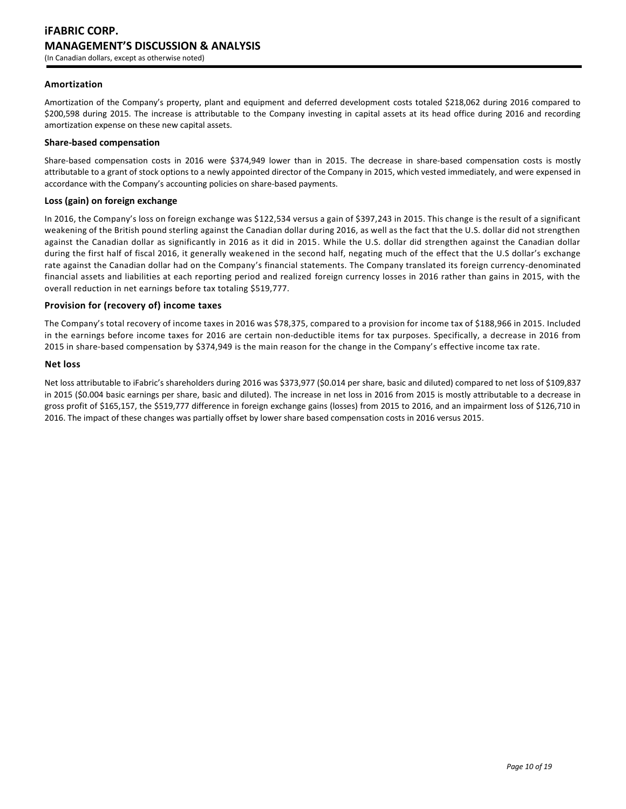### **Amortization**

Amortization of the Company's property, plant and equipment and deferred development costs totaled \$218,062 during 2016 compared to \$200,598 during 2015. The increase is attributable to the Company investing in capital assets at its head office during 2016 and recording amortization expense on these new capital assets.

### **Share-based compensation**

Share-based compensation costs in 2016 were \$374,949 lower than in 2015. The decrease in share-based compensation costs is mostly attributable to a grant of stock options to a newly appointed director of the Company in 2015, which vested immediately, and were expensed in accordance with the Company's accounting policies on share-based payments.

### **Loss (gain) on foreign exchange**

In 2016, the Company's loss on foreign exchange was \$122,534 versus a gain of \$397,243 in 2015. This change is the result of a significant weakening of the British pound sterling against the Canadian dollar during 2016, as well as the fact that the U.S. dollar did not strengthen against the Canadian dollar as significantly in 2016 as it did in 2015. While the U.S. dollar did strengthen against the Canadian dollar during the first half of fiscal 2016, it generally weakened in the second half, negating much of the effect that the U.S dollar's exchange rate against the Canadian dollar had on the Company's financial statements. The Company translated its foreign currency-denominated financial assets and liabilities at each reporting period and realized foreign currency losses in 2016 rather than gains in 2015, with the overall reduction in net earnings before tax totaling \$519,777.

### **Provision for (recovery of) income taxes**

The Company's total recovery of income taxes in 2016 was \$78,375, compared to a provision for income tax of \$188,966 in 2015. Included in the earnings before income taxes for 2016 are certain non-deductible items for tax purposes. Specifically, a decrease in 2016 from 2015 in share-based compensation by \$374,949 is the main reason for the change in the Company's effective income tax rate.

### **Net loss**

Net loss attributable to iFabric's shareholders during 2016 was \$373,977 (\$0.014 per share, basic and diluted) compared to net loss of \$109,837 in 2015 (\$0.004 basic earnings per share, basic and diluted). The increase in net loss in 2016 from 2015 is mostly attributable to a decrease in gross profit of \$165,157, the \$519,777 difference in foreign exchange gains (losses) from 2015 to 2016, and an impairment loss of \$126,710 in 2016. The impact of these changes was partially offset by lower share based compensation costs in 2016 versus 2015.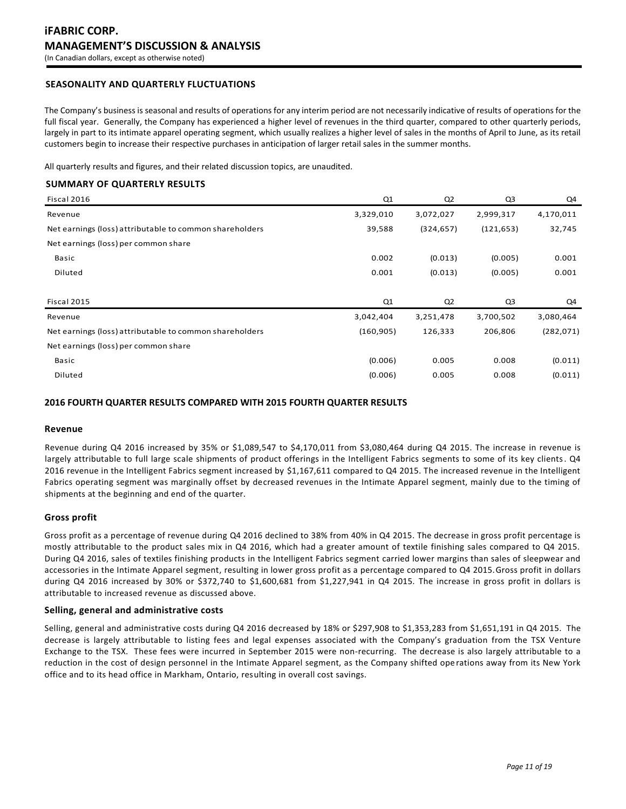# **SEASONALITY AND QUARTERLY FLUCTUATIONS**

The Company's business is seasonal and results of operations for any interim period are not necessarily indicative of results of operations for the full fiscal year. Generally, the Company has experienced a higher level of revenues in the third quarter, compared to other quarterly periods, largely in part to its intimate apparel operating segment, which usually realizes a higher level of sales in the months of April to June, as its retail customers begin to increase their respective purchases in anticipation of larger retail sales in the summer months.

All quarterly results and figures, and their related discussion topics, are unaudited.

# **SUMMARY OF QUARTERLY RESULTS**

| Fiscal 2016                                             | Q1         | Q <sub>2</sub> | Q <sub>3</sub> | Q4         |
|---------------------------------------------------------|------------|----------------|----------------|------------|
| Revenue                                                 | 3,329,010  | 3,072,027      | 2,999,317      | 4,170,011  |
| Net earnings (loss) attributable to common shareholders | 39,588     | (324, 657)     | (121, 653)     | 32,745     |
| Net earnings (loss) per common share                    |            |                |                |            |
| Basic                                                   | 0.002      | (0.013)        | (0.005)        | 0.001      |
| Diluted                                                 | 0.001      | (0.013)        | (0.005)        | 0.001      |
|                                                         |            |                |                |            |
| Fiscal 2015                                             | Q1         | Q <sub>2</sub> | Q <sub>3</sub> | Q4         |
| Revenue                                                 | 3,042,404  | 3,251,478      | 3,700,502      | 3,080,464  |
| Net earnings (loss) attributable to common shareholders | (160, 905) | 126,333        | 206,806        | (282, 071) |
| Net earnings (loss) per common share                    |            |                |                |            |
| Basic                                                   | (0.006)    | 0.005          | 0.008          | (0.011)    |
| Diluted                                                 | (0.006)    | 0.005          | 0.008          | (0.011)    |

#### **2016 FOURTH QUARTER RESULTS COMPARED WITH 2015 FOURTH QUARTER RESULTS**

#### **Revenue**

Revenue during Q4 2016 increased by 35% or \$1,089,547 to \$4,170,011 from \$3,080,464 during Q4 2015. The increase in revenue is largely attributable to full large scale shipments of product offerings in the Intelligent Fabrics segments to some of its key clients. Q4 2016 revenue in the Intelligent Fabrics segment increased by \$1,167,611 compared to Q4 2015. The increased revenue in the Intelligent Fabrics operating segment was marginally offset by decreased revenues in the Intimate Apparel segment, mainly due to the timing of shipments at the beginning and end of the quarter.

### **Gross profit**

Gross profit as a percentage of revenue during Q4 2016 declined to 38% from 40% in Q4 2015. The decrease in gross profit percentage is mostly attributable to the product sales mix in Q4 2016, which had a greater amount of textile finishing sales compared to Q4 2015. During Q4 2016, sales of textiles finishing products in the Intelligent Fabrics segment carried lower margins than sales of sleepwear and accessories in the Intimate Apparel segment, resulting in lower gross profit as a percentage compared to Q4 2015.Gross profit in dollars during Q4 2016 increased by 30% or \$372,740 to \$1,600,681 from \$1,227,941 in Q4 2015. The increase in gross profit in dollars is attributable to increased revenue as discussed above.

### **Selling, general and administrative costs**

Selling, general and administrative costs during Q4 2016 decreased by 18% or \$297,908 to \$1,353,283 from \$1,651,191 in Q4 2015. The decrease is largely attributable to listing fees and legal expenses associated with the Company's graduation from the TSX Venture Exchange to the TSX. These fees were incurred in September 2015 were non-recurring. The decrease is also largely attributable to a reduction in the cost of design personnel in the Intimate Apparel segment, as the Company shifted ope rations away from its New York office and to its head office in Markham, Ontario, resulting in overall cost savings.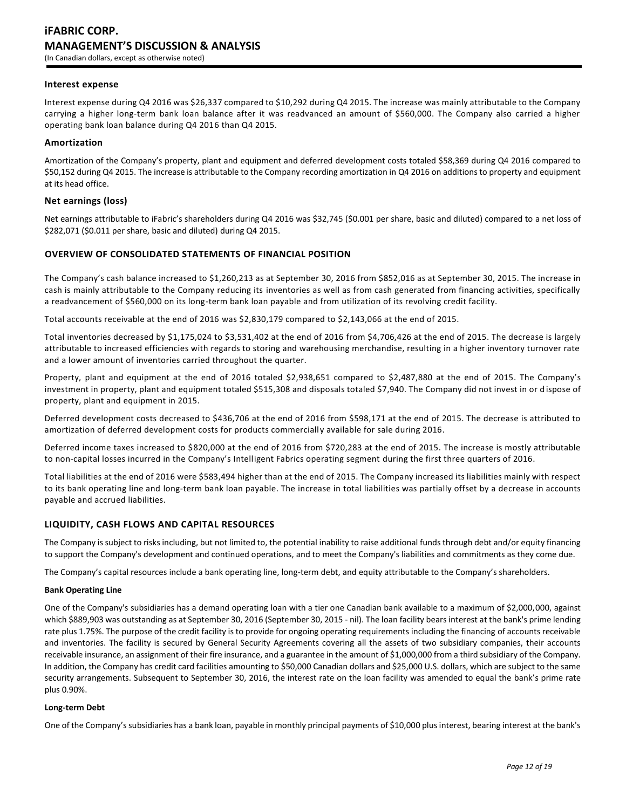### **Interest expense**

Interest expense during Q4 2016 was \$26,337 compared to \$10,292 during Q4 2015. The increase was mainly attributable to the Company carrying a higher long-term bank loan balance after it was readvanced an amount of \$560,000. The Company also carried a higher operating bank loan balance during Q4 2016 than Q4 2015.

### **Amortization**

Amortization of the Company's property, plant and equipment and deferred development costs totaled \$58,369 during Q4 2016 compared to \$50,152 during Q4 2015. The increase is attributable to the Company recording amortization in Q4 2016 on additions to property and equipment at its head office.

### **Net earnings (loss)**

Net earnings attributable to iFabric's shareholders during Q4 2016 was \$32,745 (\$0.001 per share, basic and diluted) compared to a net loss of \$282,071 (\$0.011 per share, basic and diluted) during Q4 2015.

### **OVERVIEW OF CONSOLIDATED STATEMENTS OF FINANCIAL POSITION**

The Company's cash balance increased to \$1,260,213 as at September 30, 2016 from \$852,016 as at September 30, 2015. The increase in cash is mainly attributable to the Company reducing its inventories as well as from cash generated from financing activities, specifically a readvancement of \$560,000 on its long-term bank loan payable and from utilization of its revolving credit facility.

Total accounts receivable at the end of 2016 was \$2,830,179 compared to \$2,143,066 at the end of 2015.

Total inventories decreased by \$1,175,024 to \$3,531,402 at the end of 2016 from \$4,706,426 at the end of 2015. The decrease is largely attributable to increased efficiencies with regards to storing and warehousing merchandise, resulting in a higher inventory turnover rate and a lower amount of inventories carried throughout the quarter.

Property, plant and equipment at the end of 2016 totaled \$2,938,651 compared to \$2,487,880 at the end of 2015. The Company's investment in property, plant and equipment totaled \$515,308 and disposals totaled \$7,940. The Company did not invest in or d ispose of property, plant and equipment in 2015.

Deferred development costs decreased to \$436,706 at the end of 2016 from \$598,171 at the end of 2015. The decrease is attributed to amortization of deferred development costs for products commercially available for sale during 2016.

Deferred income taxes increased to \$820,000 at the end of 2016 from \$720,283 at the end of 2015. The increase is mostly attributable to non-capital losses incurred in the Company's Intelligent Fabrics operating segment during the first three quarters of 2016.

Total liabilities at the end of 2016 were \$583,494 higher than at the end of 2015. The Company increased its liabilities mainly with respect to its bank operating line and long-term bank loan payable. The increase in total liabilities was partially offset by a decrease in accounts payable and accrued liabilities.

### **LIQUIDITY, CASH FLOWS AND CAPITAL RESOURCES**

The Company is subject to risks including, but not limited to, the potential inability to raise additional funds through debt and/or equity financing to support the Company's development and continued operations, and to meet the Company's liabilities and commitments as they come due.

The Company's capital resources include a bank operating line, long-term debt, and equity attributable to the Company's shareholders.

#### **Bank Operating Line**

One of the Company's subsidiaries has a demand operating loan with a tier one Canadian bank available to a maximum of \$2,000,000, against which \$889,903 was outstanding as at September 30, 2016 (September 30, 2015 - nil). The loan facility bears interest at the bank's prime lending rate plus 1.75%. The purpose of the credit facility is to provide for ongoing operating requirements including the financing of accounts receivable and inventories. The facility is secured by General Security Agreements covering all the assets of two subsidiary companies, their accounts receivable insurance, an assignment of their fire insurance, and a guarantee in the amount of \$1,000,000 from a third subsidiary of the Company. In addition, the Company has credit card facilities amounting to \$50,000 Canadian dollars and \$25,000 U.S. dollars, which are subject to the same security arrangements. Subsequent to September 30, 2016, the interest rate on the loan facility was amended to equal the bank's prime rate plus 0.90%.

#### **Long-term Debt**

One of the Company's subsidiaries has a bank loan, payable in monthly principal payments of \$10,000 plus interest, bearing interest at the bank's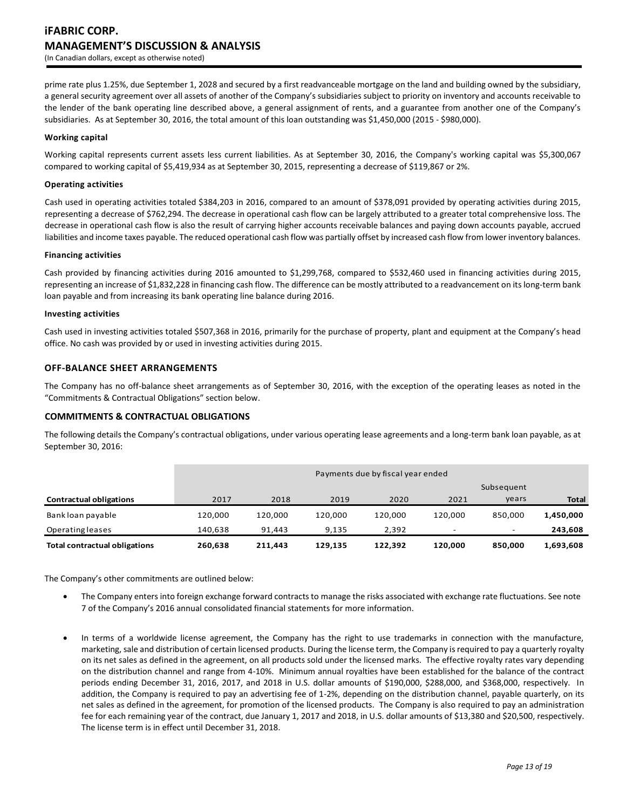prime rate plus 1.25%, due September 1, 2028 and secured by a first readvanceable mortgage on the land and building owned by the subsidiary, a general security agreement over all assets of another of the Company's subsidiaries subject to priority on inventory and accounts receivable to the lender of the bank operating line described above, a general assignment of rents, and a guarantee from another one of the Company's subsidiaries. As at September 30, 2016, the total amount of this loan outstanding was \$1,450,000 (2015 - \$980,000).

### **Working capital**

Working capital represents current assets less current liabilities. As at September 30, 2016, the Company's working capital was \$5,300,067 compared to working capital of \$5,419,934 as at September 30, 2015, representing a decrease of \$119,867 or 2%.

### **Operating activities**

Cash used in operating activities totaled \$384,203 in 2016, compared to an amount of \$378,091 provided by operating activities during 2015, representing a decrease of \$762,294. The decrease in operational cash flow can be largely attributed to a greater total comprehensive loss. The decrease in operational cash flow is also the result of carrying higher accounts receivable balances and paying down accounts payable, accrued liabilities and income taxes payable. The reduced operational cash flow was partially offset by increased cash flow from lower inventory balances.

### **Financing activities**

Cash provided by financing activities during 2016 amounted to \$1,299,768, compared to \$532,460 used in financing activities during 2015, representing an increase of \$1,832,228 in financing cash flow. The difference can be mostly attributed to a readvancement on its long-term bank loan payable and from increasing its bank operating line balance during 2016.

### **Investing activities**

Cash used in investing activities totaled \$507,368 in 2016, primarily for the purchase of property, plant and equipment at the Company's head office. No cash was provided by or used in investing activities during 2015.

# **OFF-BALANCE SHEET ARRANGEMENTS**

The Company has no off-balance sheet arrangements as of September 30, 2016, with the exception of the operating leases as noted in the "Commitments & Contractual Obligations" section below.

# **COMMITMENTS & CONTRACTUAL OBLIGATIONS**

The following details the Company's contractual obligations, under various operating lease agreements and a long-term bank loan payable, as at September 30, 2016:

|                                      | Payments due by fiscal year ended |         |         |         |         |            |              |
|--------------------------------------|-----------------------------------|---------|---------|---------|---------|------------|--------------|
|                                      |                                   |         |         |         |         | Subsequent |              |
| <b>Contractual obligations</b>       | 2017                              | 2018    | 2019    | 2020    | 2021    | years      | <b>Total</b> |
| Bank loan payable                    | 120.000                           | 120.000 | 120.000 | 120.000 | 120.000 | 850.000    | 1,450,000    |
| <b>Operating leases</b>              | 140.638                           | 91.443  | 9.135   | 2.392   | -       | -          | 243,608      |
| <b>Total contractual obligations</b> | 260.638                           | 211,443 | 129.135 | 122,392 | 120,000 | 850.000    | 1,693,608    |

The Company's other commitments are outlined below:

- The Company enters into foreign exchange forward contracts to manage the risks associated with exchange rate fluctuations. See note 7 of the Company's 2016 annual consolidated financial statements for more information.
- In terms of a worldwide license agreement, the Company has the right to use trademarks in connection with the manufacture, marketing, sale and distribution of certain licensed products. During the license term, the Company is required to pay a quarterly royalty on its net sales as defined in the agreement, on all products sold under the licensed marks. The effective royalty rates vary depending on the distribution channel and range from 4-10%. Minimum annual royalties have been established for the balance of the contract periods ending December 31, 2016, 2017, and 2018 in U.S. dollar amounts of \$190,000, \$288,000, and \$368,000, respectively. In addition, the Company is required to pay an advertising fee of 1-2%, depending on the distribution channel, payable quarterly, on its net sales as defined in the agreement, for promotion of the licensed products. The Company is also required to pay an administration fee for each remaining year of the contract, due January 1, 2017 and 2018, in U.S. dollar amounts of \$13,380 and \$20,500, respectively. The license term is in effect until December 31, 2018.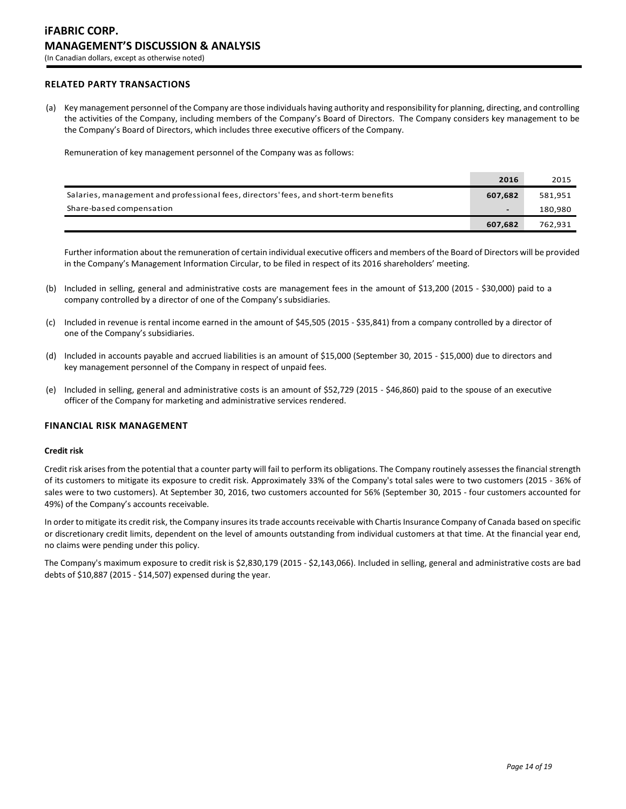# **RELATED PARTY TRANSACTIONS**

(a) Key management personnel of the Company are those individuals having authority and responsibility for planning, directing, and controlling the activities of the Company, including members of the Company's Board of Directors. The Company considers key management to be the Company's Board of Directors, which includes three executive officers of the Company.

Remuneration of key management personnel of the Company was as follows:

|                                                                                      | 2016                     | 2015    |
|--------------------------------------------------------------------------------------|--------------------------|---------|
| Salaries, management and professional fees, directors' fees, and short-term benefits | 607,682                  | 581,951 |
| Share-based compensation                                                             | $\overline{\phantom{a}}$ | 180,980 |
|                                                                                      | 607,682                  | 762,931 |

Further information about the remuneration of certain individual executive officers and members of the Board of Directors will be provided in the Company's Management Information Circular, to be filed in respect of its 2016 shareholders' meeting.

- (b) Included in selling, general and administrative costs are management fees in the amount of \$13,200 (2015 \$30,000) paid to a company controlled by a director of one of the Company's subsidiaries.
- (c) Included in revenue is rental income earned in the amount of \$45,505 (2015 \$35,841) from a company controlled by a director of one of the Company's subsidiaries.
- (d) Included in accounts payable and accrued liabilities is an amount of \$15,000 (September 30, 2015 \$15,000) due to directors and key management personnel of the Company in respect of unpaid fees.
- (e) Included in selling, general and administrative costs is an amount of \$52,729 (2015 \$46,860) paid to the spouse of an executive officer of the Company for marketing and administrative services rendered.

### **FINANCIAL RISK MANAGEMENT**

#### **Credit risk**

Credit risk arises from the potential that a counter party will fail to perform its obligations. The Company routinely assesses the financial strength of its customers to mitigate its exposure to credit risk. Approximately 33% of the Company's total sales were to two customers (2015 - 36% of sales were to two customers). At September 30, 2016, two customers accounted for 56% (September 30, 2015 - four customers accounted for 49%) of the Company's accounts receivable.

In order to mitigate its credit risk, the Company insures its trade accounts receivable with Chartis Insurance Company of Canada based on specific or discretionary credit limits, dependent on the level of amounts outstanding from individual customers at that time. At the financial year end, no claims were pending under this policy.

The Company's maximum exposure to credit risk is \$2,830,179 (2015 - \$2,143,066). Included in selling, general and administrative costs are bad debts of \$10,887 (2015 - \$14,507) expensed during the year.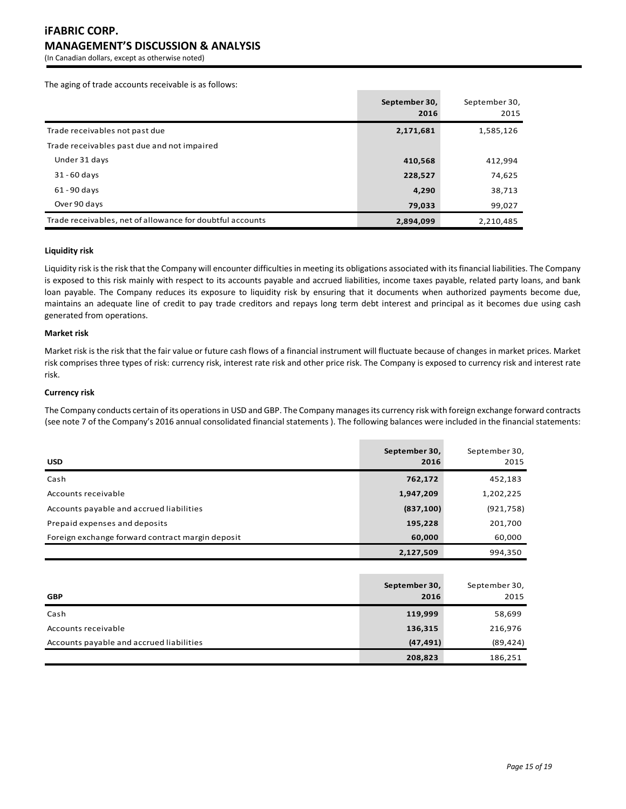# **iFABRIC CORP. MANAGEMENT'S DISCUSSION & ANALYSIS**

(In Canadian dollars, except as otherwise noted)

The aging of trade accounts receivable is as follows:

|                                                           | September 30,<br>2016 | September 30,<br>2015 |
|-----------------------------------------------------------|-----------------------|-----------------------|
| Trade receivables not past due                            | 2,171,681             | 1,585,126             |
| Trade receivables past due and not impaired               |                       |                       |
| Under 31 days                                             | 410,568               | 412,994               |
| $31 - 60$ days                                            | 228,527               | 74,625                |
| $61 - 90$ days                                            | 4,290                 | 38,713                |
| Over 90 days                                              | 79,033                | 99,027                |
| Trade receivables, net of allowance for doubtful accounts | 2,894,099             | 2,210,485             |

#### **Liquidity risk**

Liquidity risk is the risk that the Company will encounter difficulties in meeting its obligations associated with its financial liabilities. The Company is exposed to this risk mainly with respect to its accounts payable and accrued liabilities, income taxes payable, related party loans, and bank loan payable. The Company reduces its exposure to liquidity risk by ensuring that it documents when authorized payments become due, maintains an adequate line of credit to pay trade creditors and repays long term debt interest and principal as it becomes due using cash generated from operations.

# **Market risk**

Market risk is the risk that the fair value or future cash flows of a financial instrument will fluctuate because of changes in market prices. Market risk comprises three types of risk: currency risk, interest rate risk and other price risk. The Company is exposed to currency risk and interest rate risk.

### **Currency risk**

The Company conducts certain of its operations in USD and GBP. The Company manages its currency risk with foreign exchange forward contracts (see note 7 of the Company's 2016 annual consolidated financial statements ). The following balances were included in the financial statements:

| <b>USD</b>                                       | September 30,<br>2016 | September 30,<br>2015 |
|--------------------------------------------------|-----------------------|-----------------------|
| Cash                                             | 762,172               | 452,183               |
| Accounts receivable                              | 1,947,209             | 1,202,225             |
| Accounts payable and accrued liabilities         | (837, 100)            | (921, 758)            |
| Prepaid expenses and deposits                    | 195,228               | 201,700               |
| Foreign exchange forward contract margin deposit | 60,000                | 60,000                |
|                                                  | 2,127,509             | 994,350               |

| <b>GBP</b>                               | September 30,<br>2016 | September 30,<br>2015 |
|------------------------------------------|-----------------------|-----------------------|
| Cash                                     | 119,999               | 58,699                |
| Accounts receivable                      | 136,315               | 216,976               |
| Accounts payable and accrued liabilities | (47, 491)             | (89, 424)             |
|                                          | 208,823               | 186,251               |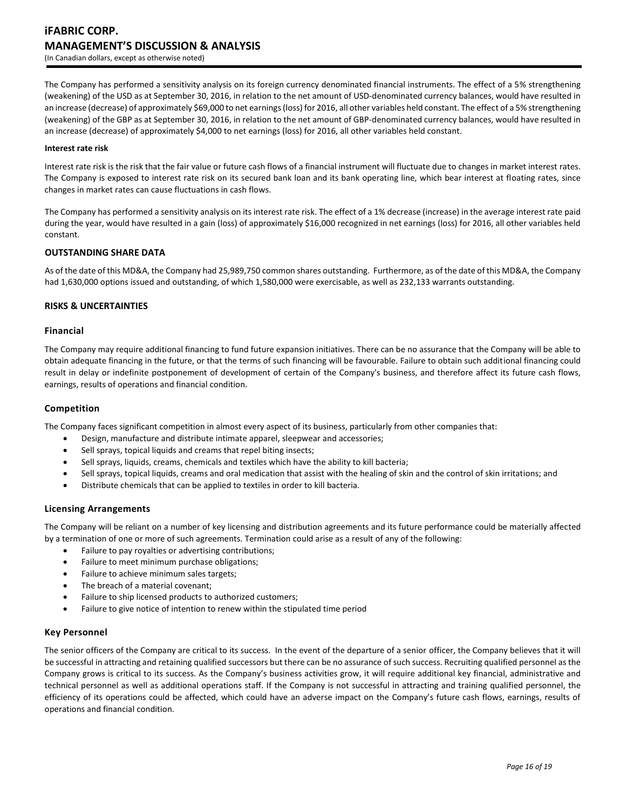The Company has performed a sensitivity analysis on its foreign currency denominated financial instruments. The effect of a 5% strengthening (weakening) of the USD as at September 30, 2016, in relation to the net amount of USD-denominated currency balances, would have resulted in an increase (decrease) of approximately \$69,000 to net earnings (loss) for 2016, all other variables held constant. The effect of a 5% strengthening (weakening) of the GBP as at September 30, 2016, in relation to the net amount of GBP-denominated currency balances, would have resulted in an increase (decrease) of approximately \$4,000 to net earnings (loss) for 2016, all other variables held constant.

#### **Interest rate risk**

Interest rate risk is the risk that the fair value or future cash flows of a financial instrument will fluctuate due to changes in market interest rates. The Company is exposed to interest rate risk on its secured bank loan and its bank operating line, which bear interest at floating rates, since changes in market rates can cause fluctuations in cash flows.

The Company has performed a sensitivity analysis on its interest rate risk. The effect of a 1% decrease (increase) in the average interest rate paid during the year, would have resulted in a gain (loss) of approximately \$16,000 recognized in net earnings (loss) for 2016, all other variables held constant.

### **OUTSTANDING SHARE DATA**

As of the date of this MD&A, the Company had 25,989,750 common shares outstanding. Furthermore, as of the date of this MD&A, the Company had 1,630,000 options issued and outstanding, of which 1,580,000 were exercisable, as well as 232,133 warrants outstanding.

### **RISKS & UNCERTAINTIES**

### **Financial**

The Company may require additional financing to fund future expansion initiatives. There can be no assurance that the Company will be able to obtain adequate financing in the future, or that the terms of such financing will be favourable. Failure to obtain such additional financing could result in delay or indefinite postponement of development of certain of the Company's business, and therefore affect its future cash flows, earnings, results of operations and financial condition.

### **Competition**

The Company faces significant competition in almost every aspect of its business, particularly from other companies that:

- Design, manufacture and distribute intimate apparel, sleepwear and accessories;
- Sell sprays, topical liquids and creams that repel biting insects;
- Sell sprays, liquids, creams, chemicals and textiles which have the ability to kill bacteria;
- Sell sprays, topical liquids, creams and oral medication that assist with the healing of skin and the control of skin irritations; and
- Distribute chemicals that can be applied to textiles in order to kill bacteria.

### **Licensing Arrangements**

The Company will be reliant on a number of key licensing and distribution agreements and its future performance could be materially affected by a termination of one or more of such agreements. Termination could arise as a result of any of the following:

- Failure to pay royalties or advertising contributions;
- Failure to meet minimum purchase obligations;
- Failure to achieve minimum sales targets;
- The breach of a material covenant;
- Failure to ship licensed products to authorized customers;
- Failure to give notice of intention to renew within the stipulated time period

# **Key Personnel**

The senior officers of the Company are critical to its success. In the event of the departure of a senior officer, the Company believes that it will be successful in attracting and retaining qualified successors but there can be no assurance of such success. Recruiting qualified personnel as the Company grows is critical to its success. As the Company's business activities grow, it will require additional key financial, administrative and technical personnel as well as additional operations staff. If the Company is not successful in attracting and training qualified personnel, the efficiency of its operations could be affected, which could have an adverse impact on the Company's future cash flows, earnings, results of operations and financial condition.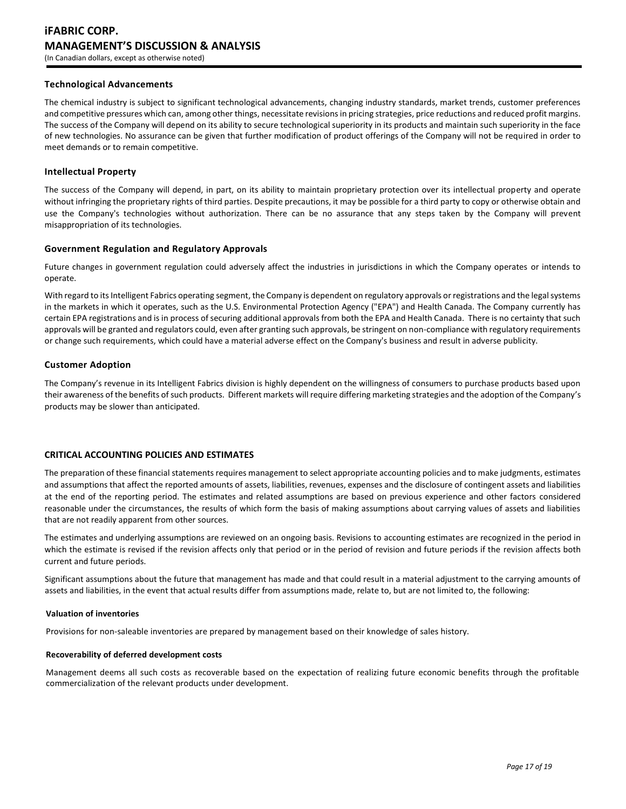### **Technological Advancements**

The chemical industry is subject to significant technological advancements, changing industry standards, market trends, customer preferences and competitive pressures which can, among other things, necessitate revisions in pricing strategies, price reductions and reduced profit margins. The success of the Company will depend on its ability to secure technological superiority in its products and maintain such superiority in the face of new technologies. No assurance can be given that further modification of product offerings of the Company will not be required in order to meet demands or to remain competitive.

### **Intellectual Property**

The success of the Company will depend, in part, on its ability to maintain proprietary protection over its intellectual property and operate without infringing the proprietary rights of third parties. Despite precautions, it may be possible for a third party to copy or otherwise obtain and use the Company's technologies without authorization. There can be no assurance that any steps taken by the Company will prevent misappropriation of its technologies.

### **Government Regulation and Regulatory Approvals**

Future changes in government regulation could adversely affect the industries in jurisdictions in which the Company operates or intends to operate.

With regard to its Intelligent Fabrics operating segment, the Company is dependent on regulatory approvals or registrations and the legal systems in the markets in which it operates, such as the U.S. Environmental Protection Agency ("EPA") and Health Canada. The Company currently has certain EPA registrations and is in process of securing additional approvals from both the EPA and Health Canada. There is no certainty that such approvals will be granted and regulators could, even after granting such approvals, be stringent on non-compliance with regulatory requirements or change such requirements, which could have a material adverse effect on the Company's business and result in adverse publicity.

### **Customer Adoption**

The Company's revenue in its Intelligent Fabrics division is highly dependent on the willingness of consumers to purchase products based upon their awareness of the benefits of such products. Different markets will require differing marketing strategies and the adoption of the Company's products may be slower than anticipated.

# **CRITICAL ACCOUNTING POLICIES AND ESTIMATES**

The preparation of these financial statements requires management to select appropriate accounting policies and to make judgments, estimates and assumptions that affect the reported amounts of assets, liabilities, revenues, expenses and the disclosure of contingent assets and liabilities at the end of the reporting period. The estimates and related assumptions are based on previous experience and other factors considered reasonable under the circumstances, the results of which form the basis of making assumptions about carrying values of assets and liabilities that are not readily apparent from other sources.

The estimates and underlying assumptions are reviewed on an ongoing basis. Revisions to accounting estimates are recognized in the period in which the estimate is revised if the revision affects only that period or in the period of revision and future periods if the revision affects both current and future periods.

Significant assumptions about the future that management has made and that could result in a material adjustment to the carrying amounts of assets and liabilities, in the event that actual results differ from assumptions made, relate to, but are not limited to, the following:

### **Valuation of inventories**

Provisions for non-saleable inventories are prepared by management based on their knowledge of sales history.

### **Recoverability of deferred development costs**

Management deems all such costs as recoverable based on the expectation of realizing future economic benefits through the profitable commercialization of the relevant products under development.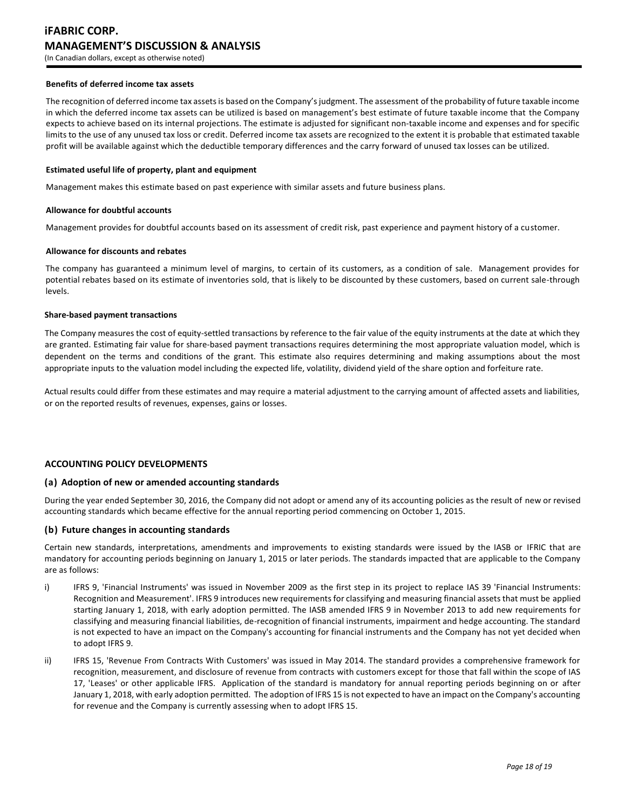#### **Benefits of deferred income tax assets**

The recognition of deferred income tax assets is based on the Company's judgment. The assessment of the probability of future taxable income in which the deferred income tax assets can be utilized is based on management's best estimate of future taxable income that the Company expects to achieve based on its internal projections. The estimate is adjusted for significant non-taxable income and expenses and for specific limits to the use of any unused tax loss or credit. Deferred income tax assets are recognized to the extent it is probable that estimated taxable profit will be available against which the deductible temporary differences and the carry forward of unused tax losses can be utilized.

### **Estimated useful life of property, plant and equipment**

Management makes this estimate based on past experience with similar assets and future business plans.

#### **Allowance for doubtful accounts**

Management provides for doubtful accounts based on its assessment of credit risk, past experience and payment history of a customer.

### **Allowance for discounts and rebates**

The company has guaranteed a minimum level of margins, to certain of its customers, as a condition of sale. Management provides for potential rebates based on its estimate of inventories sold, that is likely to be discounted by these customers, based on current sale-through levels.

#### **Share-based payment transactions**

The Company measures the cost of equity-settled transactions by reference to the fair value of the equity instruments at the date at which they are granted. Estimating fair value for share-based payment transactions requires determining the most appropriate valuation model, which is dependent on the terms and conditions of the grant. This estimate also requires determining and making assumptions about the most appropriate inputs to the valuation model including the expected life, volatility, dividend yield of the share option and forfeiture rate.

Actual results could differ from these estimates and may require a material adjustment to the carrying amount of affected assets and liabilities, or on the reported results of revenues, expenses, gains or losses.

### **ACCOUNTING POLICY DEVELOPMENTS**

### **(a) Adoption of new or amended accounting standards**

During the year ended September 30, 2016, the Company did not adopt or amend any of its accounting policies as the result of new or revised accounting standards which became effective for the annual reporting period commencing on October 1, 2015.

### **(b) Future changes in accounting standards**

Certain new standards, interpretations, amendments and improvements to existing standards were issued by the IASB or IFRIC that are mandatory for accounting periods beginning on January 1, 2015 or later periods. The standards impacted that are applicable to the Company are as follows:

- i) IFRS 9, 'Financial Instruments' was issued in November 2009 as the first step in its project to replace IAS 39 'Financial Instruments: Recognition and Measurement'. IFRS 9 introduces new requirements for classifying and measuring financial assets that must be applied starting January 1, 2018, with early adoption permitted. The IASB amended IFRS 9 in November 2013 to add new requirements for classifying and measuring financial liabilities, de-recognition of financial instruments, impairment and hedge accounting. The standard is not expected to have an impact on the Company's accounting for financial instruments and the Company has not yet decided when to adopt IFRS 9.
- ii) IFRS 15, 'Revenue From Contracts With Customers' was issued in May 2014. The standard provides a comprehensive framework for recognition, measurement, and disclosure of revenue from contracts with customers except for those that fall within the scope of IAS 17, 'Leases' or other applicable IFRS. Application of the standard is mandatory for annual reporting periods beginning on or after January 1, 2018, with early adoption permitted. The adoption of IFRS 15 is not expected to have an impact on the Company's accounting for revenue and the Company is currently assessing when to adopt IFRS 15.